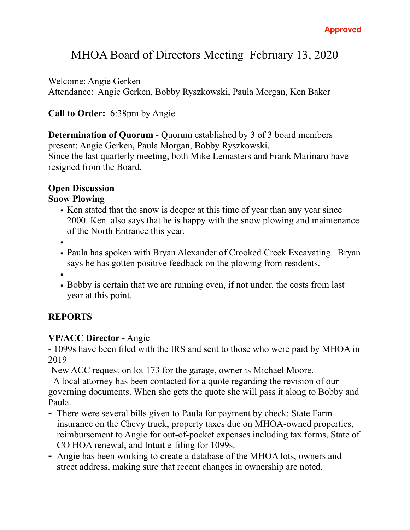# MHOA Board of Directors Meeting February 13, 2020

Welcome: Angie Gerken

Attendance: Angie Gerken, Bobby Ryszkowski, Paula Morgan, Ken Baker

## **Call to Order:** 6:38pm by Angie

**Determination of Quorum - Quorum established by 3 of 3 board members** present: Angie Gerken, Paula Morgan, Bobby Ryszkowski. Since the last quarterly meeting, both Mike Lemasters and Frank Marinaro have resigned from the Board.

## **Open Discussion**

#### **Snow Plowing**

- Ken stated that the snow is deeper at this time of year than any year since 2000. Ken also says that he is happy with the snow plowing and maintenance of the North Entrance this year.
- •
- Paula has spoken with Bryan Alexander of Crooked Creek Excavating. Bryan says he has gotten positive feedback on the plowing from residents.
- •
- Bobby is certain that we are running even, if not under, the costs from last year at this point.

## **REPORTS**

## **VP/ACC Director** - Angie

- 1099s have been filed with the IRS and sent to those who were paid by MHOA in 2019

-New ACC request on lot 173 for the garage, owner is Michael Moore.

- A local attorney has been contacted for a quote regarding the revision of our governing documents. When she gets the quote she will pass it along to Bobby and Paula.

- There were several bills given to Paula for payment by check: State Farm insurance on the Chevy truck, property taxes due on MHOA-owned properties, reimbursement to Angie for out-of-pocket expenses including tax forms, State of CO HOA renewal, and Intuit e-filing for 1099s.
- Angie has been working to create a database of the MHOA lots, owners and street address, making sure that recent changes in ownership are noted.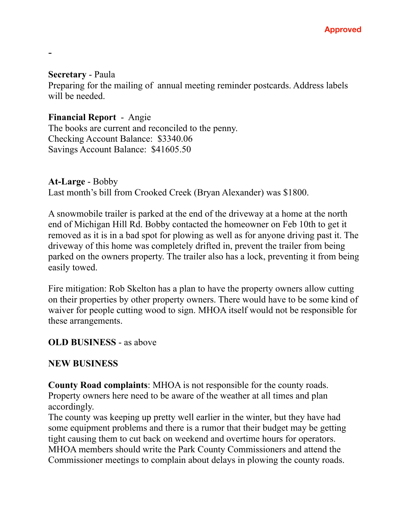#### **Secretary** - Paula

-

Preparing for the mailing of annual meeting reminder postcards. Address labels will be needed.

#### **Financial Report** - Angie

The books are current and reconciled to the penny. Checking Account Balance: \$3340.06 Savings Account Balance: \$41605.50

#### **At-Large** - Bobby

Last month's bill from Crooked Creek (Bryan Alexander) was \$1800.

A snowmobile trailer is parked at the end of the driveway at a home at the north end of Michigan Hill Rd. Bobby contacted the homeowner on Feb 10th to get it removed as it is in a bad spot for plowing as well as for anyone driving past it. The driveway of this home was completely drifted in, prevent the trailer from being parked on the owners property. The trailer also has a lock, preventing it from being easily towed.

Fire mitigation: Rob Skelton has a plan to have the property owners allow cutting on their properties by other property owners. There would have to be some kind of waiver for people cutting wood to sign. MHOA itself would not be responsible for these arrangements.

#### **OLD BUSINESS** - as above

#### **NEW BUSINESS**

**County Road complaints**: MHOA is not responsible for the county roads. Property owners here need to be aware of the weather at all times and plan accordingly.

The county was keeping up pretty well earlier in the winter, but they have had some equipment problems and there is a rumor that their budget may be getting tight causing them to cut back on weekend and overtime hours for operators. MHOA members should write the Park County Commissioners and attend the Commissioner meetings to complain about delays in plowing the county roads.